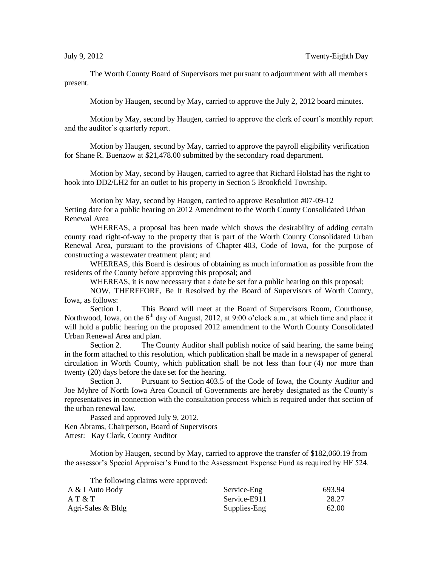The Worth County Board of Supervisors met pursuant to adjournment with all members present.

Motion by Haugen, second by May, carried to approve the July 2, 2012 board minutes.

Motion by May, second by Haugen, carried to approve the clerk of court's monthly report and the auditor's quarterly report.

Motion by Haugen, second by May, carried to approve the payroll eligibility verification for Shane R. Buenzow at \$21,478.00 submitted by the secondary road department.

Motion by May, second by Haugen, carried to agree that Richard Holstad has the right to hook into DD2/LH2 for an outlet to his property in Section 5 Brookfield Township.

Motion by May, second by Haugen, carried to approve Resolution #07-09-12 Setting date for a public hearing on 2012 Amendment to the Worth County Consolidated Urban Renewal Area

WHEREAS, a proposal has been made which shows the desirability of adding certain county road right-of-way to the property that is part of the Worth County Consolidated Urban Renewal Area, pursuant to the provisions of Chapter 403, Code of Iowa, for the purpose of constructing a wastewater treatment plant; and

WHEREAS, this Board is desirous of obtaining as much information as possible from the residents of the County before approving this proposal; and

WHEREAS, it is now necessary that a date be set for a public hearing on this proposal;

NOW, THEREFORE, Be It Resolved by the Board of Supervisors of Worth County, Iowa, as follows:

Section 1. This Board will meet at the Board of Supervisors Room, Courthouse, Northwood, Iowa, on the  $6<sup>th</sup>$  day of August, 2012, at 9:00 o'clock a.m., at which time and place it will hold a public hearing on the proposed 2012 amendment to the Worth County Consolidated Urban Renewal Area and plan.

Section 2. The County Auditor shall publish notice of said hearing, the same being in the form attached to this resolution, which publication shall be made in a newspaper of general circulation in Worth County, which publication shall be not less than four (4) nor more than twenty (20) days before the date set for the hearing.

Section 3. Pursuant to Section 403.5 of the Code of Iowa, the County Auditor and Joe Myhre of North Iowa Area Council of Governments are hereby designated as the County's representatives in connection with the consultation process which is required under that section of the urban renewal law.

Passed and approved July 9, 2012. Ken Abrams, Chairperson, Board of Supervisors Attest: Kay Clark, County Auditor

Motion by Haugen, second by May, carried to approve the transfer of \$182,060.19 from the assessor's Special Appraiser's Fund to the Assessment Expense Fund as required by HF 524.

The following claims were approved:

| A & I Auto Body   | Service-Eng  | 693.94 |
|-------------------|--------------|--------|
| AT & T            | Service-E911 | 28.27  |
| Agri-Sales & Bldg | Supplies-Eng | 62.00  |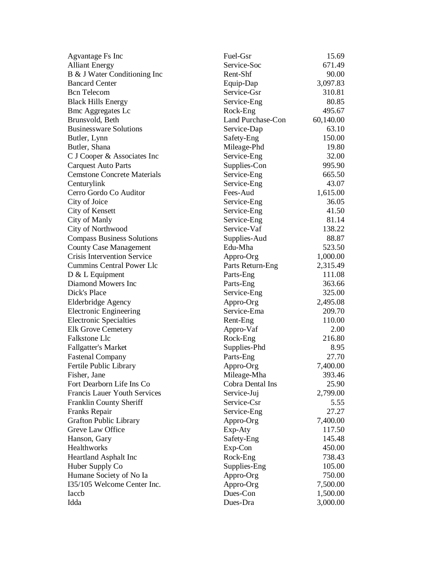| Agvantage Fs Inc                    | Fuel-Gsr                 | 15.69     |
|-------------------------------------|--------------------------|-----------|
| <b>Alliant Energy</b>               | Service-Soc              | 671.49    |
| B & J Water Conditioning Inc        | Rent-Shf                 | 90.00     |
| <b>Bancard Center</b>               | Equip-Dap                | 3,097.83  |
| <b>Bcn</b> Telecom                  | Service-Gsr              | 310.81    |
| <b>Black Hills Energy</b>           | Service-Eng              | 80.85     |
| <b>Bmc Aggregates Lc</b>            | Rock-Eng                 | 495.67    |
| Brunsvold, Beth                     | <b>Land Purchase-Con</b> | 60,140.00 |
| <b>Businessware Solutions</b>       | Service-Dap              | 63.10     |
| Butler, Lynn                        | Safety-Eng               | 150.00    |
| Butler, Shana                       | Mileage-Phd              | 19.80     |
| C J Cooper & Associates Inc         | Service-Eng              | 32.00     |
| <b>Carquest Auto Parts</b>          | Supplies-Con             | 995.90    |
| <b>Cemstone Concrete Materials</b>  | Service-Eng              | 665.50    |
| Centurylink                         | Service-Eng              | 43.07     |
| Cerro Gordo Co Auditor              | Fees-Aud                 | 1,615.00  |
| City of Joice                       | Service-Eng              | 36.05     |
| City of Kensett                     | Service-Eng              | 41.50     |
| City of Manly                       | Service-Eng              | 81.14     |
| City of Northwood                   | Service-Vaf              | 138.22    |
| <b>Compass Business Solutions</b>   | Supplies-Aud             | 88.87     |
| <b>County Case Management</b>       | Edu-Mha                  | 523.50    |
| <b>Crisis Intervention Service</b>  | Appro-Org                | 1,000.00  |
| <b>Cummins Central Power Llc</b>    | Parts Return-Eng         | 2,315.49  |
| $D & L$ Equipment                   | Parts-Eng                | 111.08    |
| Diamond Mowers Inc                  | Parts-Eng                | 363.66    |
| Dick's Place                        | Service-Eng              | 325.00    |
| Elderbridge Agency                  | Appro-Org                | 2,495.08  |
| <b>Electronic Engineering</b>       | Service-Ema              | 209.70    |
| <b>Electronic Specialties</b>       | Rent-Eng                 | 110.00    |
| <b>Elk Grove Cemetery</b>           | Appro-Vaf                | 2.00      |
| Falkstone Llc                       | Rock-Eng                 | 216.80    |
| <b>Fallgatter's Market</b>          | Supplies-Phd             | 8.95      |
| <b>Fastenal Company</b>             | Parts-Eng                | 27.70     |
| Fertile Public Library              | Appro-Org                | 7,400.00  |
| Fisher, Jane                        | Mileage-Mha              | 393.46    |
| Fort Dearborn Life Ins Co           | Cobra Dental Ins         | 25.90     |
| <b>Francis Lauer Youth Services</b> | Service-Juj              | 2,799.00  |
| Franklin County Sheriff             | Service-Csr              | 5.55      |
| Franks Repair                       | Service-Eng              | 27.27     |
| <b>Grafton Public Library</b>       | Appro-Org                | 7,400.00  |
| Greve Law Office                    | Exp-Aty                  | 117.50    |
| Hanson, Gary                        | Safety-Eng               | 145.48    |
| Healthworks                         | Exp-Con                  | 450.00    |
| Heartland Asphalt Inc               | Rock-Eng                 | 738.43    |
| Huber Supply Co                     | Supplies-Eng             | 105.00    |
| Humane Society of No Ia             | Appro-Org                | 750.00    |
| I35/105 Welcome Center Inc.         | Appro-Org                | 7,500.00  |
| Iaccb                               | Dues-Con                 | 1,500.00  |
| Idda                                | Dues-Dra                 | 3,000.00  |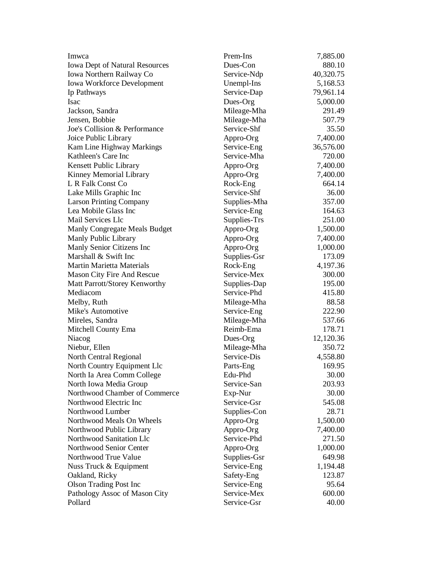| Imwca                             | Prem-Ins     | 7,885.00  |
|-----------------------------------|--------------|-----------|
| Iowa Dept of Natural Resources    | Dues-Con     | 880.10    |
| Iowa Northern Railway Co          | Service-Ndp  | 40,320.75 |
| <b>Iowa Workforce Development</b> | Unempl-Ins   | 5,168.53  |
| Ip Pathways                       | Service-Dap  | 79,961.14 |
| Isac                              | Dues-Org     | 5,000.00  |
| Jackson, Sandra                   | Mileage-Mha  | 291.49    |
| Jensen, Bobbie                    | Mileage-Mha  | 507.79    |
| Joe's Collision & Performance     | Service-Shf  | 35.50     |
| Joice Public Library              | Appro-Org    | 7,400.00  |
| Kam Line Highway Markings         | Service-Eng  | 36,576.00 |
| Kathleen's Care Inc               | Service-Mha  | 720.00    |
| Kensett Public Library            | Appro-Org    | 7,400.00  |
| Kinney Memorial Library           | Appro-Org    | 7,400.00  |
| L R Falk Const Co                 | Rock-Eng     | 664.14    |
| Lake Mills Graphic Inc            | Service-Shf  | 36.00     |
| <b>Larson Printing Company</b>    | Supplies-Mha | 357.00    |
| Lea Mobile Glass Inc              | Service-Eng  | 164.63    |
| <b>Mail Services Llc</b>          | Supplies-Trs | 251.00    |
| Manly Congregate Meals Budget     | Appro-Org    | 1,500.00  |
| Manly Public Library              | Appro-Org    | 7,400.00  |
| Manly Senior Citizens Inc         | Appro-Org    | 1,000.00  |
| Marshall & Swift Inc              | Supplies-Gsr | 173.09    |
| Martin Marietta Materials         | Rock-Eng     | 4,197.36  |
| Mason City Fire And Rescue        | Service-Mex  | 300.00    |
| Matt Parrott/Storey Kenworthy     | Supplies-Dap | 195.00    |
| Mediacom                          | Service-Phd  | 415.80    |
| Melby, Ruth                       | Mileage-Mha  | 88.58     |
| Mike's Automotive                 | Service-Eng  | 222.90    |
| Mireles, Sandra                   | Mileage-Mha  | 537.66    |
| Mitchell County Ema               | Reimb-Ema    | 178.71    |
| Niacog                            | Dues-Org     | 12,120.36 |
| Niebur, Ellen                     | Mileage-Mha  | 350.72    |
| North Central Regional            | Service-Dis  | 4,558.80  |
| North Country Equipment Llc       | Parts-Eng    | 169.95    |
| North Ia Area Comm College        | Edu-Phd      | 30.00     |
| North Iowa Media Group            | Service-San  | 203.93    |
| Northwood Chamber of Commerce     | Exp-Nur      | 30.00     |
| Northwood Electric Inc            | Service-Gsr  | 545.08    |
| Northwood Lumber                  | Supplies-Con | 28.71     |
| Northwood Meals On Wheels         | Appro-Org    | 1,500.00  |
| Northwood Public Library          | Appro-Org    | 7,400.00  |
| Northwood Sanitation Llc          | Service-Phd  | 271.50    |
| Northwood Senior Center           | Appro-Org    | 1,000.00  |
| Northwood True Value              | Supplies-Gsr | 649.98    |
| Nuss Truck & Equipment            | Service-Eng  | 1,194.48  |
| Oakland, Ricky                    | Safety-Eng   | 123.87    |
| <b>Olson Trading Post Inc</b>     | Service-Eng  | 95.64     |
| Pathology Assoc of Mason City     | Service-Mex  | 600.00    |
| Pollard                           | Service-Gsr  | 40.00     |